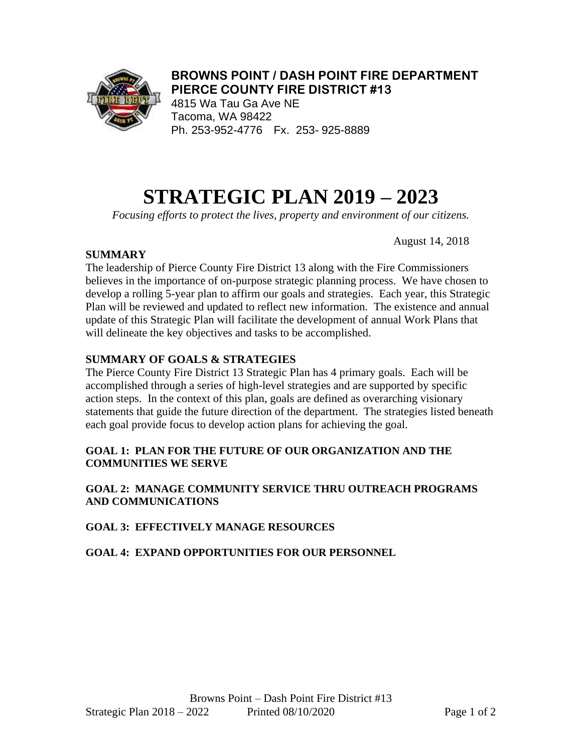

# **BROWNS POINT / DASH POINT FIRE DEPARTMENT PIERCE COUNTY FIRE DISTRICT #13**

4815 Wa Tau Ga Ave NE Tacoma, WA 98422 Ph. 253-952-4776 Fx. 253- 925-8889

# **STRATEGIC PLAN 2019 – 2023**

*Focusing efforts to protect the lives, property and environment of our citizens.*

August 14, 2018

# **SUMMARY**

The leadership of Pierce County Fire District 13 along with the Fire Commissioners believes in the importance of on-purpose strategic planning process. We have chosen to develop a rolling 5-year plan to affirm our goals and strategies. Each year, this Strategic Plan will be reviewed and updated to reflect new information. The existence and annual update of this Strategic Plan will facilitate the development of annual Work Plans that will delineate the key objectives and tasks to be accomplished.

# **SUMMARY OF GOALS & STRATEGIES**

The Pierce County Fire District 13 Strategic Plan has 4 primary goals. Each will be accomplished through a series of high-level strategies and are supported by specific action steps. In the context of this plan, goals are defined as overarching visionary statements that guide the future direction of the department. The strategies listed beneath each goal provide focus to develop action plans for achieving the goal.

#### **GOAL 1: PLAN FOR THE FUTURE OF OUR ORGANIZATION AND THE COMMUNITIES WE SERVE**

#### **GOAL 2: MANAGE COMMUNITY SERVICE THRU OUTREACH PROGRAMS AND COMMUNICATIONS**

# **GOAL 3: EFFECTIVELY MANAGE RESOURCES**

# **GOAL 4: EXPAND OPPORTUNITIES FOR OUR PERSONNEL**